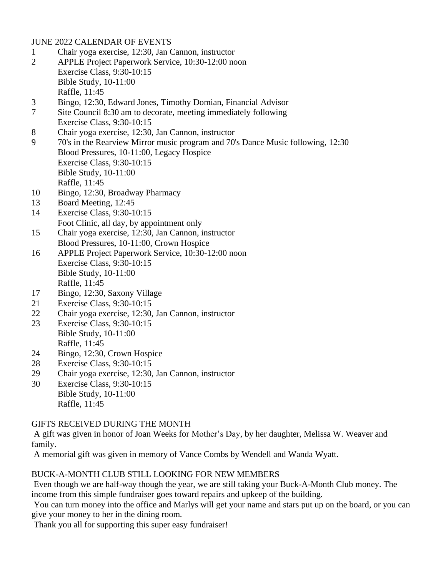JUNE 2022 CALENDAR OF EVENTS

- 1 Chair yoga exercise, 12:30, Jan Cannon, instructor
- 2 APPLE Project Paperwork Service, 10:30-12:00 noon Exercise Class, 9:30-10:15 Bible Study, 10-11:00 Raffle, 11:45
- 3 Bingo, 12:30, Edward Jones, Timothy Domian, Financial Advisor
- 7 Site Council 8:30 am to decorate, meeting immediately following Exercise Class, 9:30-10:15
- 8 Chair yoga exercise, 12:30, Jan Cannon, instructor
- 9 70's in the Rearview Mirror music program and 70's Dance Music following, 12:30 Blood Pressures, 10-11:00, Legacy Hospice Exercise Class, 9:30-10:15 Bible Study, 10-11:00 Raffle, 11:45
- 10 Bingo, 12:30, Broadway Pharmacy
- 13 Board Meeting, 12:45
- 14 Exercise Class, 9:30-10:15
- Foot Clinic, all day, by appointment only 15 Chair yoga exercise, 12:30, Jan Cannon, instructor
- Blood Pressures, 10-11:00, Crown Hospice
- 16 APPLE Project Paperwork Service, 10:30-12:00 noon Exercise Class, 9:30-10:15 Bible Study, 10-11:00 Raffle, 11:45
- 17 Bingo, 12:30, Saxony Village
- 21 Exercise Class, 9:30-10:15
- 22 Chair yoga exercise, 12:30, Jan Cannon, instructor
- 23 Exercise Class, 9:30-10:15 Bible Study, 10-11:00 Raffle, 11:45
- 24 Bingo, 12:30, Crown Hospice
- 28 Exercise Class, 9:30-10:15
- 29 Chair yoga exercise, 12:30, Jan Cannon, instructor
- 30 Exercise Class, 9:30-10:15 Bible Study, 10-11:00 Raffle, 11:45

# GIFTS RECEIVED DURING THE MONTH

A gift was given in honor of Joan Weeks for Mother's Day, by her daughter, Melissa W. Weaver and family.

A memorial gift was given in memory of Vance Combs by Wendell and Wanda Wyatt.

# BUCK-A-MONTH CLUB STILL LOOKING FOR NEW MEMBERS

Even though we are half-way though the year, we are still taking your Buck-A-Month Club money. The income from this simple fundraiser goes toward repairs and upkeep of the building.

You can turn money into the office and Marlys will get your name and stars put up on the board, or you can give your money to her in the dining room.

Thank you all for supporting this super easy fundraiser!